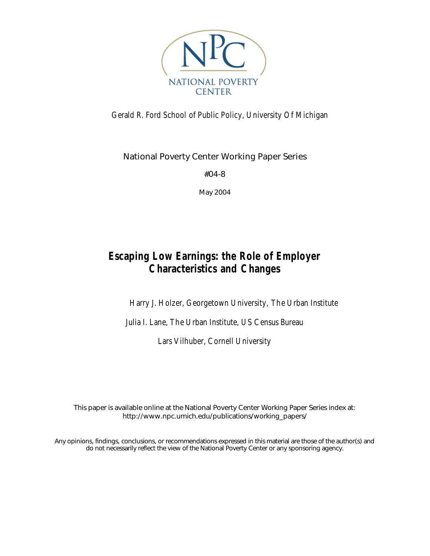

# Gerald R. Ford School of Public Policy, University Of Michigan

National Poverty Center Working Paper Series

#04-8

May 2004

# **Escaping Low Earnings: the Role of Employer Characteristics and Changes**

Harry J. Holzer, Georgetown University, The Urban Institute

Julia I. Lane, The Urban Institute, US Census Bureau

Lars Vilhuber, Cornell University

This paper is available online at the National Poverty Center Working Paper Series index at: http://www.npc.umich.edu/publications/working\_papers/

Any opinions, findings, conclusions, or recommendations expressed in this material are those of the author(s) and do not necessarily reflect the view of the National Poverty Center or any sponsoring agency.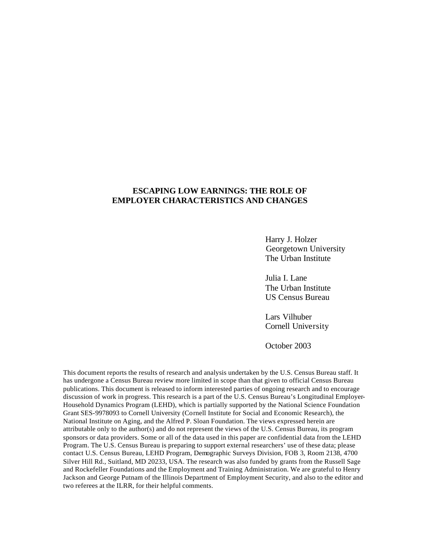# **ESCAPING LOW EARNINGS: THE ROLE OF EMPLOYER CHARACTERISTICS AND CHANGES**

Harry J. Holzer Georgetown University The Urban Institute

Julia I. Lane The Urban Institute US Census Bureau

Lars Vilhuber Cornell University

October 2003

This document reports the results of research and analysis undertaken by the U.S. Census Bureau staff. It has undergone a Census Bureau review more limited in scope than that given to official Census Bureau publications. This document is released to inform interested parties of ongoing research and to encourage discussion of work in progress. This research is a part of the U.S. Census Bureau's Longitudinal Employer-Household Dynamics Program (LEHD), which is partially supported by the National Science Foundation Grant SES-9978093 to Cornell University (Cornell Institute for Social and Economic Research), the National Institute on Aging, and the Alfred P. Sloan Foundation. The views expressed herein are attributable only to the author(s) and do not represent the views of the U.S. Census Bureau, its program sponsors or data providers. Some or all of the data used in this paper are confidential data from the LEHD Program. The U.S. Census Bureau is preparing to support external researchers' use of these data; please contact U.S. Census Bureau, LEHD Program, Demographic Surveys Division, FOB 3, Room 2138, 4700 Silver Hill Rd., Suitland, MD 20233, USA. The research was also funded by grants from the Russell Sage and Rockefeller Foundations and the Employment and Training Administration. We are grateful to Henry Jackson and George Putnam of the Illinois Department of Employment Security, and also to the editor and two referees at the ILRR, for their helpful comments.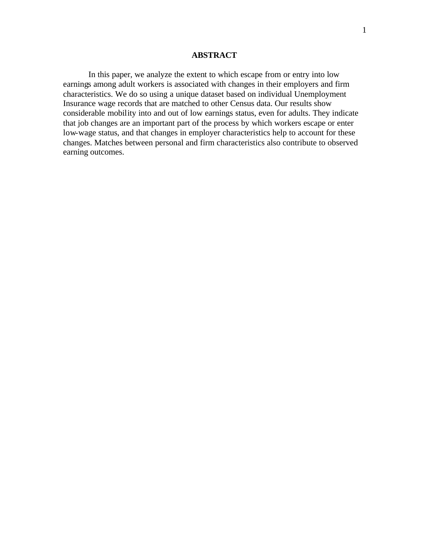# **ABSTRACT**

In this paper, we analyze the extent to which escape from or entry into low earnings among adult workers is associated with changes in their employers and firm characteristics. We do so using a unique dataset based on individual Unemployment Insurance wage records that are matched to other Census data. Our results show considerable mobility into and out of low earnings status, even for adults. They indicate that job changes are an important part of the process by which workers escape or enter low-wage status, and that changes in employer characteristics help to account for these changes. Matches between personal and firm characteristics also contribute to observed earning outcomes.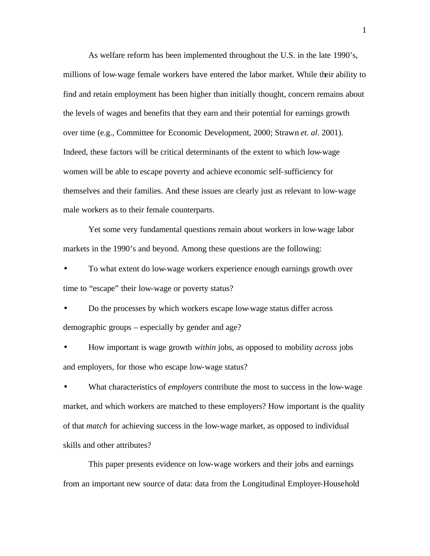As welfare reform has been implemented throughout the U.S. in the late 1990's, millions of low-wage female workers have entered the labor market. While their ability to find and retain employment has been higher than initially thought, concern remains about the levels of wages and benefits that they earn and their potential for earnings growth over time (e.g., Committee for Economic Development, 2000; Strawn *et. al*. 2001). Indeed, these factors will be critical determinants of the extent to which low-wage women will be able to escape poverty and achieve economic self-sufficiency for themselves and their families. And these issues are clearly just as relevant to low-wage male workers as to their female counterparts.

Yet some very fundamental questions remain about workers in low-wage labor markets in the 1990's and beyond. Among these questions are the following:

• To what extent do low-wage workers experience enough earnings growth over time to "escape" their low-wage or poverty status?

• Do the processes by which workers escape low-wage status differ across demographic groups – especially by gender and age?

• How important is wage growth *within* jobs, as opposed to mobility *across* jobs and employers, for those who escape low-wage status?

• What characteristics of *employers* contribute the most to success in the low-wage market, and which workers are matched to these employers? How important is the quality of that *match* for achieving success in the low-wage market, as opposed to individual skills and other attributes?

This paper presents evidence on low-wage workers and their jobs and earnings from an important new source of data: data from the Longitudinal Employer-Household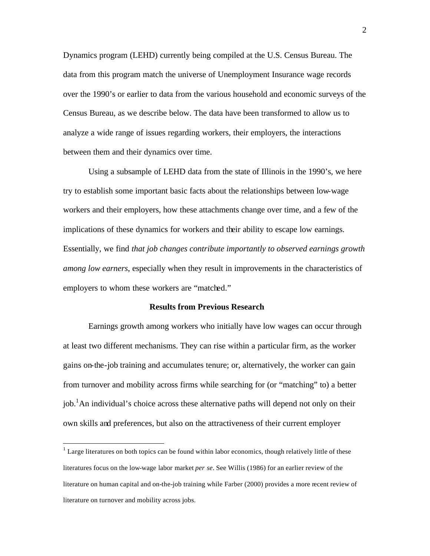Dynamics program (LEHD) currently being compiled at the U.S. Census Bureau. The data from this program match the universe of Unemployment Insurance wage records over the 1990's or earlier to data from the various household and economic surveys of the Census Bureau, as we describe below. The data have been transformed to allow us to analyze a wide range of issues regarding workers, their employers, the interactions between them and their dynamics over time.

Using a subsample of LEHD data from the state of Illinois in the 1990's, we here try to establish some important basic facts about the relationships between low-wage workers and their employers, how these attachments change over time, and a few of the implications of these dynamics for workers and their ability to escape low earnings. Essentially, we find *that job changes contribute importantly to observed earnings growth among low earners*, especially when they result in improvements in the characteristics of employers to whom these workers are "matched."

### **Results from Previous Research**

Earnings growth among workers who initially have low wages can occur through at least two different mechanisms. They can rise within a particular firm, as the worker gains on-the-job training and accumulates tenure; or, alternatively, the worker can gain from turnover and mobility across firms while searching for (or "matching" to) a better job.<sup>1</sup>An individual's choice across these alternative paths will depend not only on their own skills and preferences, but also on the attractiveness of their current employer

 $1$  Large literatures on both topics can be found within labor economics, though relatively little of these literatures focus on the low-wage labor market *per se*. See Willis (1986) for an earlier review of the literature on human capital and on-the-job training while Farber (2000) provides a more recent review of literature on turnover and mobility across jobs.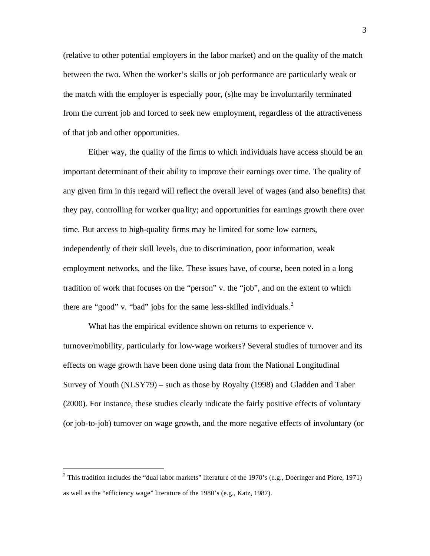(relative to other potential employers in the labor market) and on the quality of the match between the two. When the worker's skills or job performance are particularly weak or the match with the employer is especially poor, (s)he may be involuntarily terminated from the current job and forced to seek new employment, regardless of the attractiveness of that job and other opportunities.

Either way, the quality of the firms to which individuals have access should be an important determinant of their ability to improve their earnings over time. The quality of any given firm in this regard will reflect the overall level of wages (and also benefits) that they pay, controlling for worker qua lity; and opportunities for earnings growth there over time. But access to high-quality firms may be limited for some low earners, independently of their skill levels, due to discrimination, poor information, weak employment networks, and the like. These issues have, of course, been noted in a long tradition of work that focuses on the "person" v. the "job", and on the extent to which there are "good" v. "bad" jobs for the same less-skilled individuals. $2$ 

What has the empirical evidence shown on returns to experience v. turnover/mobility, particularly for low-wage workers? Several studies of turnover and its effects on wage growth have been done using data from the National Longitudinal Survey of Youth (NLSY79) – such as those by Royalty (1998) and Gladden and Taber (2000). For instance, these studies clearly indicate the fairly positive effects of voluntary (or job-to-job) turnover on wage growth, and the more negative effects of involuntary (or

<sup>&</sup>lt;sup>2</sup> This tradition includes the "dual labor markets" literature of the 1970's (e.g., Doeringer and Piore, 1971) as well as the "efficiency wage" literature of the 1980's (e.g., Katz, 1987).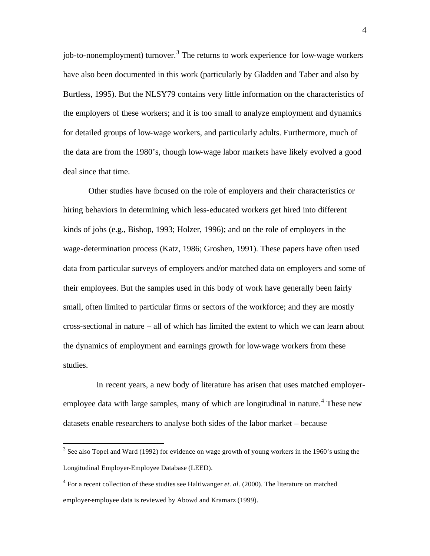job-to-nonemployment) turnover.<sup>3</sup> The returns to work experience for low-wage workers have also been documented in this work (particularly by Gladden and Taber and also by Burtless, 1995). But the NLSY79 contains very little information on the characteristics of the employers of these workers; and it is too small to analyze employment and dynamics for detailed groups of low-wage workers, and particularly adults. Furthermore, much of the data are from the 1980's, though low-wage labor markets have likely evolved a good deal since that time.

Other studies have focused on the role of employers and their characteristics or hiring behaviors in determining which less-educated workers get hired into different kinds of jobs (e.g., Bishop, 1993; Holzer, 1996); and on the role of employers in the wage-determination process (Katz, 1986; Groshen, 1991). These papers have often used data from particular surveys of employers and/or matched data on employers and some of their employees. But the samples used in this body of work have generally been fairly small, often limited to particular firms or sectors of the workforce; and they are mostly cross-sectional in nature – all of which has limited the extent to which we can learn about the dynamics of employment and earnings growth for low-wage workers from these studies.

 In recent years, a new body of literature has arisen that uses matched employeremployee data with large samples, many of which are longitudinal in nature.<sup>4</sup> These new datasets enable researchers to analyse both sides of the labor market – because

 $3$  See also Topel and Ward (1992) for evidence on wage growth of young workers in the 1960's using the Longitudinal Employer-Employee Database (LEED).

<sup>4</sup> For a recent collection of these studies see Haltiwanger *et. al*. (2000). The literature on matched employer-employee data is reviewed by Abowd and Kramarz (1999).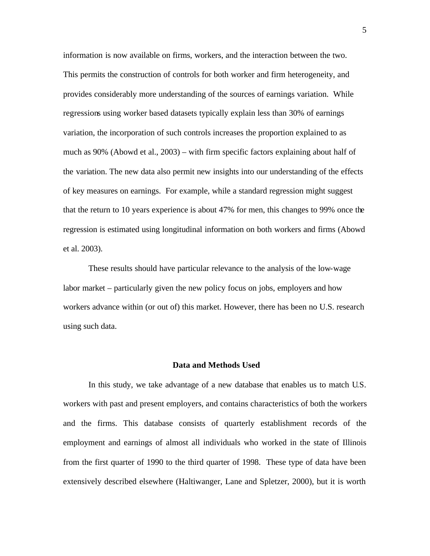information is now available on firms, workers, and the interaction between the two. This permits the construction of controls for both worker and firm heterogeneity, and provides considerably more understanding of the sources of earnings variation. While regressions using worker based datasets typically explain less than 30% of earnings variation, the incorporation of such controls increases the proportion explained to as much as 90% (Abowd et al., 2003) – with firm specific factors explaining about half of the variation. The new data also permit new insights into our understanding of the effects of key measures on earnings. For example, while a standard regression might suggest that the return to 10 years experience is about 47% for men, this changes to 99% once the regression is estimated using longitudinal information on both workers and firms (Abowd et al. 2003).

These results should have particular relevance to the analysis of the low-wage labor market – particularly given the new policy focus on jobs, employers and how workers advance within (or out of) this market. However, there has been no U.S. research using such data.

#### **Data and Methods Used**

In this study, we take advantage of a new database that enables us to match U.S. workers with past and present employers, and contains characteristics of both the workers and the firms. This database consists of quarterly establishment records of the employment and earnings of almost all individuals who worked in the state of Illinois from the first quarter of 1990 to the third quarter of 1998. These type of data have been extensively described elsewhere (Haltiwanger, Lane and Spletzer, 2000), but it is worth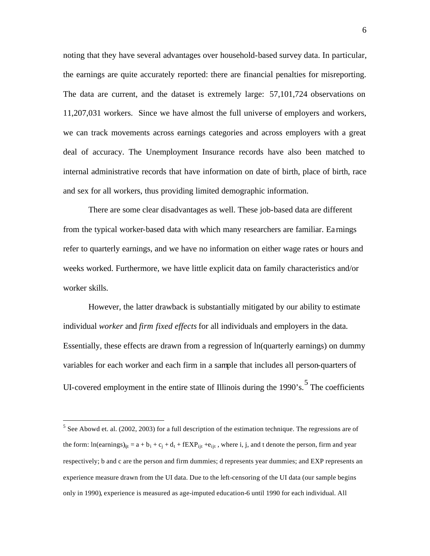noting that they have several advantages over household-based survey data. In particular, the earnings are quite accurately reported: there are financial penalties for misreporting. The data are current, and the dataset is extremely large: 57,101,724 observations on 11,207,031 workers. Since we have almost the full universe of employers and workers, we can track movements across earnings categories and across employers with a great deal of accuracy. The Unemployment Insurance records have also been matched to internal administrative records that have information on date of birth, place of birth, race and sex for all workers, thus providing limited demographic information.

There are some clear disadvantages as well. These job-based data are different from the typical worker-based data with which many researchers are familiar. Ea rnings refer to quarterly earnings, and we have no information on either wage rates or hours and weeks worked. Furthermore, we have little explicit data on family characteristics and/or worker skills.

However, the latter drawback is substantially mitigated by our ability to estimate individual *worker* and *firm fixed effects* for all individuals and employers in the data. Essentially, these effects are drawn from a regression of ln(quarterly earnings) on dummy variables for each worker and each firm in a sample that includes all person-quarters of UI-covered employment in the entire state of Illinois during the  $1990$ 's.<sup>5</sup> The coefficients

 $<sup>5</sup>$  See Abowd et. al. (2002, 2003) for a full description of the estimation technique. The regressions are of</sup> the form:  $ln(earnings)_{ij} = a + b_i + c_j + d_t + fEXP_{ijt} + e_{ijt}$ , where i, j, and t denote the person, firm and year respectively; b and c are the person and firm dummies; d represents year dummies; and EXP represents an experience measure drawn from the UI data. Due to the left-censoring of the UI data (our sample begins only in 1990), experience is measured as age-imputed education-6 until 1990 for each individual. All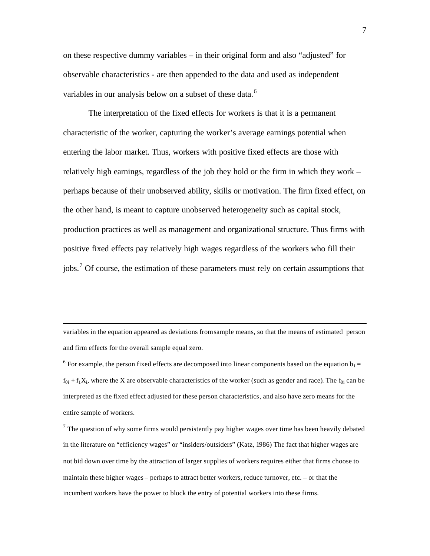on these respective dummy variables – in their original form and also "adjusted" for observable characteristics - are then appended to the data and used as independent variables in our analysis below on a subset of these data.<sup>6</sup>

The interpretation of the fixed effects for workers is that it is a permanent characteristic of the worker, capturing the worker's average earnings potential when entering the labor market. Thus, workers with positive fixed effects are those with relatively high earnings, regardless of the job they hold or the firm in which they work – perhaps because of their unobserved ability, skills or motivation. The firm fixed effect, on the other hand, is meant to capture unobserved heterogeneity such as capital stock, production practices as well as management and organizational structure. Thus firms with positive fixed effects pay relatively high wages regardless of the workers who fill their jobs.<sup>7</sup> Of course, the estimation of these parameters must rely on certain assumptions that

variables in the equation appeared as deviations fromsample means, so that the means of estimated person and firm effects for the overall sample equal zero.

 $\overline{a}$ 

<sup>6</sup> For example, the person fixed effects are decomposed into linear components based on the equation  $b_i =$  $f_{0i} + f_1 X_i$ , where the X are observable characteristics of the worker (such as gender and race). The  $f_{0i}$  can be interpreted as the fixed effect adjusted for these person characteristics, and also have zero means for the entire sample of workers.

 $7$  The question of why some firms would persistently pay higher wages over time has been heavily debated in the literature on "efficiency wages" or "insiders/outsiders" (Katz, 1986) The fact that higher wages are not bid down over time by the attraction of larger supplies of workers requires either that firms choose to maintain these higher wages – perhaps to attract better workers, reduce turnover, etc. – or that the incumbent workers have the power to block the entry of potential workers into these firms.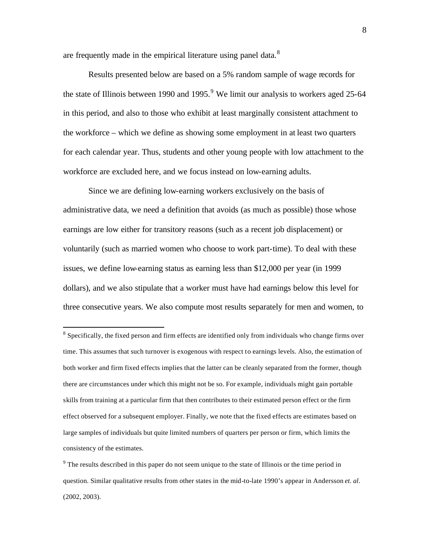are frequently made in the empirical literature using panel data.<sup>8</sup>

Results presented below are based on a 5% random sample of wage records for the state of Illinois between 1990 and 1995.<sup>9</sup> We limit our analysis to workers aged 25-64 in this period, and also to those who exhibit at least marginally consistent attachment to the workforce – which we define as showing some employment in at least two quarters for each calendar year. Thus, students and other young people with low attachment to the workforce are excluded here, and we focus instead on low-earning adults.

Since we are defining low-earning workers exclusively on the basis of administrative data, we need a definition that avoids (as much as possible) those whose earnings are low either for transitory reasons (such as a recent job displacement) or voluntarily (such as married women who choose to work part-time). To deal with these issues, we define low-earning status as earning less than \$12,000 per year (in 1999 dollars), and we also stipulate that a worker must have had earnings below this level for three consecutive years. We also compute most results separately for men and women, to

<sup>&</sup>lt;sup>8</sup> Specifically, the fixed person and firm effects are identified only from individuals who change firms over time. This assumes that such turnover is exogenous with respect to earnings levels. Also, the estimation of both worker and firm fixed effects implies that the latter can be cleanly separated from the former, though there are circumstances under which this might not be so. For example, individuals might gain portable skills from training at a particular firm that then contributes to their estimated person effect or the firm effect observed for a subsequent employer. Finally, we note that the fixed effects are estimates based on large samples of individuals but quite limited numbers of quarters per person or firm, which limits the consistency of the estimates.

 $9<sup>9</sup>$  The results described in this paper do not seem unique to the state of Illinois or the time period in question. Similar qualitative results from other states in the mid-to-late 1990's appear in Andersson *et. al*. (2002, 2003).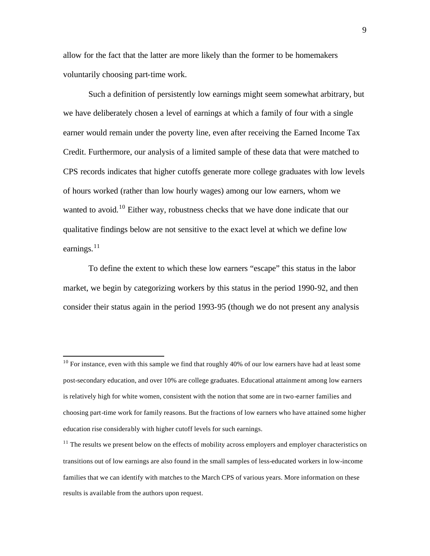allow for the fact that the latter are more likely than the former to be homemakers voluntarily choosing part-time work.

Such a definition of persistently low earnings might seem somewhat arbitrary, but we have deliberately chosen a level of earnings at which a family of four with a single earner would remain under the poverty line, even after receiving the Earned Income Tax Credit. Furthermore, our analysis of a limited sample of these data that were matched to CPS records indicates that higher cutoffs generate more college graduates with low levels of hours worked (rather than low hourly wages) among our low earners, whom we wanted to avoid.<sup>10</sup> Either way, robustness checks that we have done indicate that our qualitative findings below are not sensitive to the exact level at which we define low earnings.<sup>11</sup>

To define the extent to which these low earners "escape" this status in the labor market, we begin by categorizing workers by this status in the period 1990-92, and then consider their status again in the period 1993-95 (though we do not present any analysis

 $10$  For instance, even with this sample we find that roughly 40% of our low earners have had at least some post-secondary education, and over 10% are college graduates. Educational attainment among low earners is relatively high for white women, consistent with the notion that some are in two-earner families and choosing part-time work for family reasons. But the fractions of low earners who have attained some higher education rise considerably with higher cutoff levels for such earnings.

 $11$  The results we present below on the effects of mobility across employers and employer characteristics on transitions out of low earnings are also found in the small samples of less-educated workers in low-income families that we can identify with matches to the March CPS of various years. More information on these results is available from the authors upon request.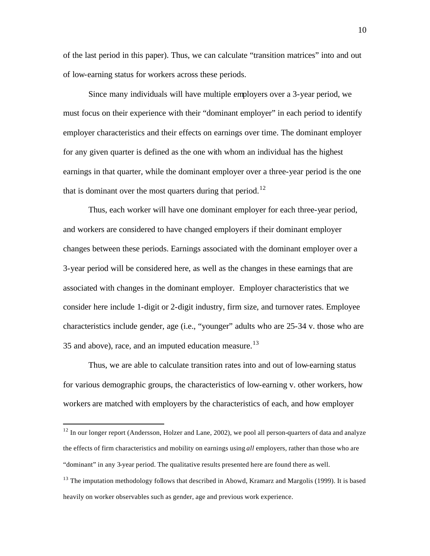of the last period in this paper). Thus, we can calculate "transition matrices" into and out of low-earning status for workers across these periods.

Since many individuals will have multiple employers over a 3-year period, we must focus on their experience with their "dominant employer" in each period to identify employer characteristics and their effects on earnings over time. The dominant employer for any given quarter is defined as the one with whom an individual has the highest earnings in that quarter, while the dominant employer over a three-year period is the one that is dominant over the most quarters during that period.<sup>12</sup>

Thus, each worker will have one dominant employer for each three-year period, and workers are considered to have changed employers if their dominant employer changes between these periods. Earnings associated with the dominant employer over a 3-year period will be considered here, as well as the changes in these earnings that are associated with changes in the dominant employer. Employer characteristics that we consider here include 1-digit or 2-digit industry, firm size, and turnover rates. Employee characteristics include gender, age (i.e., "younger" adults who are 25-34 v. those who are 35 and above), race, and an imputed education measure.<sup>13</sup>

Thus, we are able to calculate transition rates into and out of low-earning status for various demographic groups, the characteristics of low-earning v. other workers, how workers are matched with employers by the characteristics of each, and how employer

<sup>&</sup>lt;sup>12</sup> In our longer report (Andersson, Holzer and Lane, 2002), we pool all person-quarters of data and analyze the effects of firm characteristics and mobility on earnings using *all* employers, rather than those who are "dominant" in any 3-year period. The qualitative results presented here are found there as well.

 $<sup>13</sup>$  The imputation methodology follows that described in Abowd, Kramarz and Margolis (1999). It is based</sup> heavily on worker observables such as gender, age and previous work experience.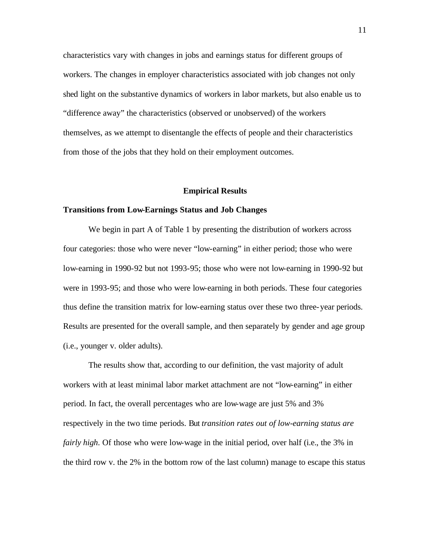characteristics vary with changes in jobs and earnings status for different groups of workers. The changes in employer characteristics associated with job changes not only shed light on the substantive dynamics of workers in labor markets, but also enable us to "difference away" the characteristics (observed or unobserved) of the workers themselves, as we attempt to disentangle the effects of people and their characteristics from those of the jobs that they hold on their employment outcomes.

#### **Empirical Results**

#### **Transitions from Low-Earnings Status and Job Changes**

We begin in part A of Table 1 by presenting the distribution of workers across four categories: those who were never "low-earning" in either period; those who were low-earning in 1990-92 but not 1993-95; those who were not low-earning in 1990-92 but were in 1993-95; and those who were low-earning in both periods. These four categories thus define the transition matrix for low-earning status over these two three-year periods. Results are presented for the overall sample, and then separately by gender and age group (i.e., younger v. older adults).

The results show that, according to our definition, the vast majority of adult workers with at least minimal labor market attachment are not "low-earning" in either period. In fact, the overall percentages who are low-wage are just 5% and 3% respectively in the two time periods. But *transition rates out of low-earning status are fairly high*. Of those who were low-wage in the initial period, over half (i.e., the 3% in the third row v. the 2% in the bottom row of the last column) manage to escape this status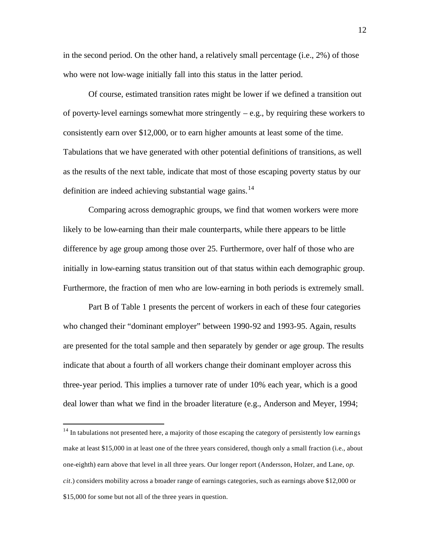in the second period. On the other hand, a relatively small percentage (i.e., 2%) of those who were not low-wage initially fall into this status in the latter period.

Of course, estimated transition rates might be lower if we defined a transition out of poverty-level earnings somewhat more stringently  $-e.g.,$  by requiring these workers to consistently earn over \$12,000, or to earn higher amounts at least some of the time. Tabulations that we have generated with other potential definitions of transitions, as well as the results of the next table, indicate that most of those escaping poverty status by our definition are indeed achieving substantial wage gains.<sup>14</sup>

Comparing across demographic groups, we find that women workers were more likely to be low-earning than their male counterparts, while there appears to be little difference by age group among those over 25. Furthermore, over half of those who are initially in low-earning status transition out of that status within each demographic group. Furthermore, the fraction of men who are low-earning in both periods is extremely small.

Part B of Table 1 presents the percent of workers in each of these four categories who changed their "dominant employer" between 1990-92 and 1993-95. Again, results are presented for the total sample and then separately by gender or age group. The results indicate that about a fourth of all workers change their dominant employer across this three-year period. This implies a turnover rate of under 10% each year, which is a good deal lower than what we find in the broader literature (e.g., Anderson and Meyer, 1994;

<sup>&</sup>lt;sup>14</sup> In tabulations not presented here, a majority of those escaping the category of persistently low earnings make at least \$15,000 in at least one of the three years considered, though only a small fraction (i.e., about one-eighth) earn above that level in all three years. Our longer report (Andersson, Holzer, and Lane, *op. cit*.) considers mobility across a broader range of earnings categories, such as earnings above \$12,000 or \$15,000 for some but not all of the three years in question.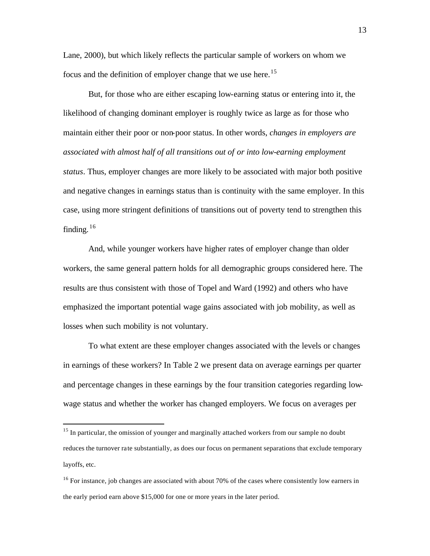Lane, 2000), but which likely reflects the particular sample of workers on whom we focus and the definition of employer change that we use here.<sup>15</sup>

But, for those who are either escaping low-earning status or entering into it, the likelihood of changing dominant employer is roughly twice as large as for those who maintain either their poor or non-poor status. In other words, *changes in employers are associated with almost half of all transitions out of or into low-earning employment status*. Thus, employer changes are more likely to be associated with major both positive and negative changes in earnings status than is continuity with the same employer. In this case, using more stringent definitions of transitions out of poverty tend to strengthen this finding.  $16$ 

And, while younger workers have higher rates of employer change than older workers, the same general pattern holds for all demographic groups considered here. The results are thus consistent with those of Topel and Ward (1992) and others who have emphasized the important potential wage gains associated with job mobility, as well as losses when such mobility is not voluntary.

To what extent are these employer changes associated with the levels or changes in earnings of these workers? In Table 2 we present data on average earnings per quarter and percentage changes in these earnings by the four transition categories regarding lowwage status and whether the worker has changed employers. We focus on averages per

<sup>&</sup>lt;sup>15</sup> In particular, the omission of younger and marginally attached workers from our sample no doubt reduces the turnover rate substantially, as does our focus on permanent separations that exclude temporary layoffs, etc.

 $16$  For instance, job changes are associated with about 70% of the cases where consistently low earners in the early period earn above \$15,000 for one or more years in the later period.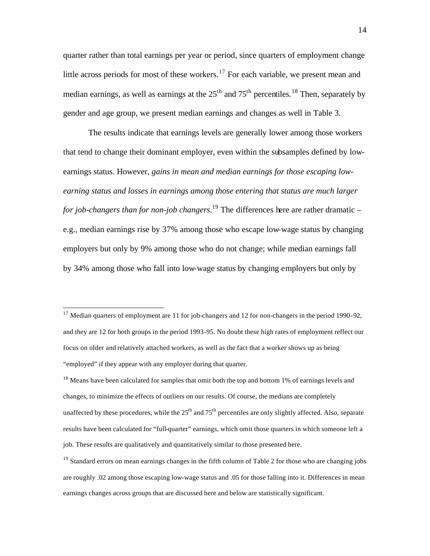quarter rather than total earnings per year or period, since quarters of employment change little across periods for most of these workers.<sup>17</sup> For each variable, we present mean and median earnings, as well as earnings at the  $25<sup>th</sup>$  and  $75<sup>th</sup>$  percentiles.<sup>18</sup> Then, separately by gender and age group, we present median earnings and changes as well in Table 3.

The results indicate that earnings levels are generally lower among those workers that tend to change their dominant employer, even within the subsamples defined by lowearnings status. However*, gains in mean and median earnings for those escaping lowearning status and losses in earnings among those entering that status are much larger for job-changers than for non-job changers.*<sup>19</sup> The differences here are rather dramatic – e.g., median earnings rise by 37% among those who escape low-wage status by changing employers but only by 9% among those who do not change; while median earnings fall by 34% among those who fall into low-wage status by changing employers but only by

 $17$  Median quarters of employment are 11 for job-changers and 12 for non-changers in the period 1990-92, and they are 12 for both groups in the period 1993-95. No doubt these high rates of employment reflect our focus on older and relatively attached workers, as well as the fact that a worker shows up as being "employed" if they appear with any employer during that quarter.

<sup>&</sup>lt;sup>18</sup> Means have been calculated for samples that omit both the top and bottom 1% of earnings levels and changes, to minimize the effects of outliers on our results. Of course, the medians are completely unaffected by these procedures, while the  $25<sup>th</sup>$  and  $75<sup>th</sup>$  percentiles are only slightly affected. Also, separate results have been calculated for "full-quarter" earnings, which omit those quarters in which someone left a job. These results are qualitatively and quantitatively similar to those presented here.

 $19$  Standard errors on mean earnings changes in the fifth column of Table 2 for those who are changing jobs are roughly .02 among those escaping low-wage status and .05 for those falling into it. Differences in mean earnings changes across groups that are discussed here and below are statistically significant.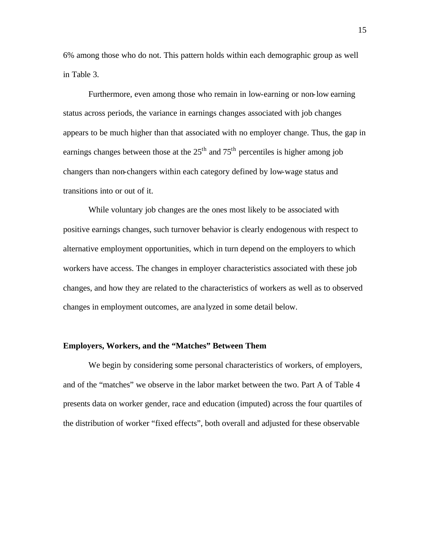6% among those who do not. This pattern holds within each demographic group as well in Table 3.

Furthermore, even among those who remain in low-earning or non-low earning status across periods, the variance in earnings changes associated with job changes appears to be much higher than that associated with no employer change. Thus, the gap in earnings changes between those at the  $25<sup>th</sup>$  and  $75<sup>th</sup>$  percentiles is higher among job changers than non-changers within each category defined by low-wage status and transitions into or out of it.

While voluntary job changes are the ones most likely to be associated with positive earnings changes, such turnover behavior is clearly endogenous with respect to alternative employment opportunities, which in turn depend on the employers to which workers have access. The changes in employer characteristics associated with these job changes, and how they are related to the characteristics of workers as well as to observed changes in employment outcomes, are ana lyzed in some detail below.

# **Employers, Workers, and the "Matches" Between Them**

We begin by considering some personal characteristics of workers, of employers, and of the "matches" we observe in the labor market between the two. Part A of Table 4 presents data on worker gender, race and education (imputed) across the four quartiles of the distribution of worker "fixed effects", both overall and adjusted for these observable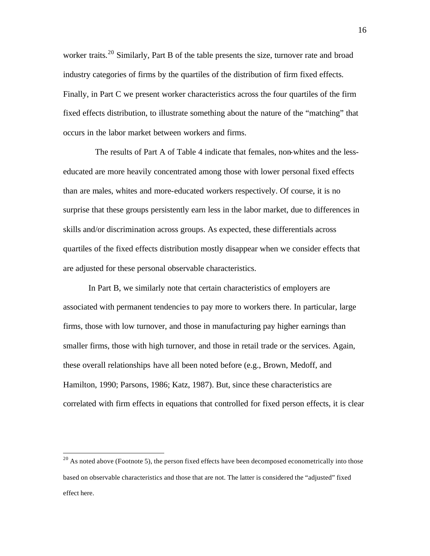worker traits.<sup>20</sup> Similarly, Part B of the table presents the size, turnover rate and broad industry categories of firms by the quartiles of the distribution of firm fixed effects. Finally, in Part C we present worker characteristics across the four quartiles of the firm fixed effects distribution, to illustrate something about the nature of the "matching" that occurs in the labor market between workers and firms.

 The results of Part A of Table 4 indicate that females, non-whites and the lesseducated are more heavily concentrated among those with lower personal fixed effects than are males, whites and more-educated workers respectively. Of course, it is no surprise that these groups persistently earn less in the labor market, due to differences in skills and/or discrimination across groups. As expected, these differentials across quartiles of the fixed effects distribution mostly disappear when we consider effects that are adjusted for these personal observable characteristics.

In Part B, we similarly note that certain characteristics of employers are associated with permanent tendencies to pay more to workers there. In particular, large firms, those with low turnover, and those in manufacturing pay higher earnings than smaller firms, those with high turnover, and those in retail trade or the services. Again, these overall relationships have all been noted before (e.g., Brown, Medoff, and Hamilton, 1990; Parsons, 1986; Katz, 1987). But, since these characteristics are correlated with firm effects in equations that controlled for fixed person effects, it is clear

 $20$  As noted above (Footnote 5), the person fixed effects have been decomposed econometrically into those based on observable characteristics and those that are not. The latter is considered the "adjusted" fixed effect here.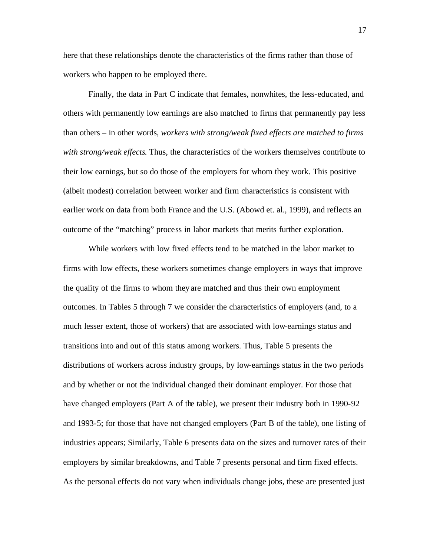here that these relationships denote the characteristics of the firms rather than those of workers who happen to be employed there.

Finally, the data in Part C indicate that females, nonwhites, the less-educated, and others with permanently low earnings are also matched to firms that permanently pay less than others – in other words, *workers with strong/weak fixed effects are matched to firms with strong/weak effects*. Thus, the characteristics of the workers themselves contribute to their low earnings, but so do those of the employers for whom they work. This positive (albeit modest) correlation between worker and firm characteristics is consistent with earlier work on data from both France and the U.S. (Abowd et. al., 1999), and reflects an outcome of the "matching" process in labor markets that merits further exploration.

While workers with low fixed effects tend to be matched in the labor market to firms with low effects, these workers sometimes change employers in ways that improve the quality of the firms to whom they are matched and thus their own employment outcomes. In Tables 5 through 7 we consider the characteristics of employers (and, to a much lesser extent, those of workers) that are associated with low-earnings status and transitions into and out of this status among workers. Thus, Table 5 presents the distributions of workers across industry groups, by low-earnings status in the two periods and by whether or not the individual changed their dominant employer. For those that have changed employers (Part A of the table), we present their industry both in 1990-92 and 1993-5; for those that have not changed employers (Part B of the table), one listing of industries appears; Similarly, Table 6 presents data on the sizes and turnover rates of their employers by similar breakdowns, and Table 7 presents personal and firm fixed effects. As the personal effects do not vary when individuals change jobs, these are presented just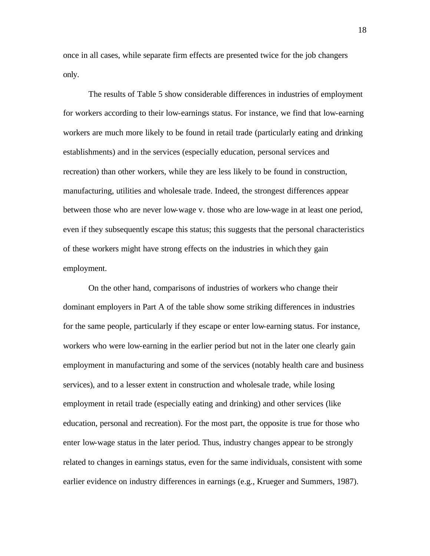once in all cases, while separate firm effects are presented twice for the job changers only.

The results of Table 5 show considerable differences in industries of employment for workers according to their low-earnings status. For instance, we find that low-earning workers are much more likely to be found in retail trade (particularly eating and drinking establishments) and in the services (especially education, personal services and recreation) than other workers, while they are less likely to be found in construction, manufacturing, utilities and wholesale trade. Indeed, the strongest differences appear between those who are never low-wage v. those who are low-wage in at least one period, even if they subsequently escape this status; this suggests that the personal characteristics of these workers might have strong effects on the industries in which they gain employment.

On the other hand, comparisons of industries of workers who change their dominant employers in Part A of the table show some striking differences in industries for the same people, particularly if they escape or enter low-earning status. For instance, workers who were low-earning in the earlier period but not in the later one clearly gain employment in manufacturing and some of the services (notably health care and business services), and to a lesser extent in construction and wholesale trade, while losing employment in retail trade (especially eating and drinking) and other services (like education, personal and recreation). For the most part, the opposite is true for those who enter low-wage status in the later period. Thus, industry changes appear to be strongly related to changes in earnings status, even for the same individuals, consistent with some earlier evidence on industry differences in earnings (e.g., Krueger and Summers, 1987).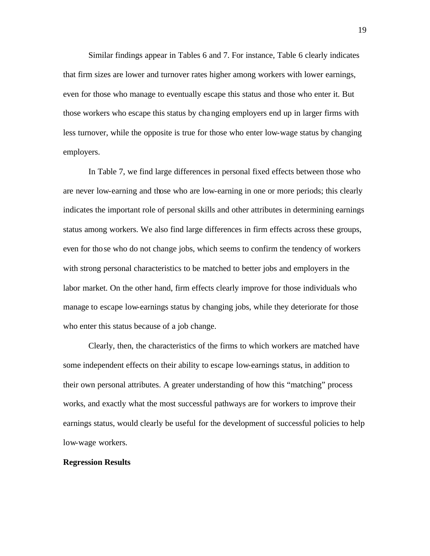Similar findings appear in Tables 6 and 7. For instance, Table 6 clearly indicates that firm sizes are lower and turnover rates higher among workers with lower earnings, even for those who manage to eventually escape this status and those who enter it. But those workers who escape this status by changing employers end up in larger firms with less turnover, while the opposite is true for those who enter low-wage status by changing employers.

In Table 7, we find large differences in personal fixed effects between those who are never low-earning and those who are low-earning in one or more periods; this clearly indicates the important role of personal skills and other attributes in determining earnings status among workers. We also find large differences in firm effects across these groups, even for those who do not change jobs, which seems to confirm the tendency of workers with strong personal characteristics to be matched to better jobs and employers in the labor market. On the other hand, firm effects clearly improve for those individuals who manage to escape low-earnings status by changing jobs, while they deteriorate for those who enter this status because of a job change.

Clearly, then, the characteristics of the firms to which workers are matched have some independent effects on their ability to escape low-earnings status, in addition to their own personal attributes. A greater understanding of how this "matching" process works, and exactly what the most successful pathways are for workers to improve their earnings status, would clearly be useful for the development of successful policies to help low-wage workers.

#### **Regression Results**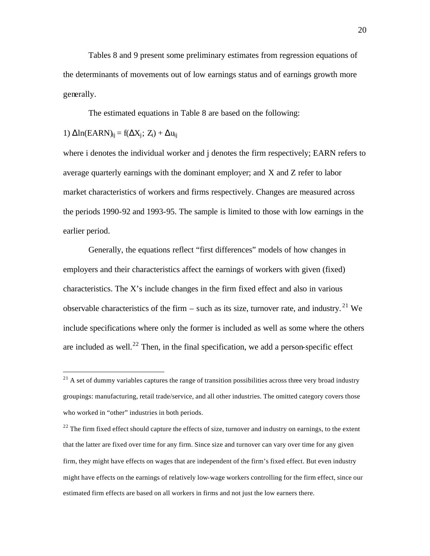Tables 8 and 9 present some preliminary estimates from regression equations of the determinants of movements out of low earnings status and of earnings growth more generally.

The estimated equations in Table 8 are based on the following:

1) 
$$
\Delta \ln(EARN)_{ij} = f(\Delta X_j; Z_i) + \Delta u_{ij}
$$

 $\overline{a}$ 

where i denotes the individual worker and j denotes the firm respectively; EARN refers to average quarterly earnings with the dominant employer; and X and Z refer to labor market characteristics of workers and firms respectively. Changes are measured across the periods 1990-92 and 1993-95. The sample is limited to those with low earnings in the earlier period.

Generally, the equations reflect "first differences" models of how changes in employers and their characteristics affect the earnings of workers with given (fixed) characteristics. The X's include changes in the firm fixed effect and also in various observable characteristics of the firm – such as its size, turnover rate, and industry.<sup>21</sup> We include specifications where only the former is included as well as some where the others are included as well.<sup>22</sup> Then, in the final specification, we add a person-specific effect

 $22$  The firm fixed effect should capture the effects of size, turnover and industry on earnings, to the extent that the latter are fixed over time for any firm. Since size and turnover can vary over time for any given firm, they might have effects on wages that are independent of the firm's fixed effect. But even industry might have effects on the earnings of relatively low-wage workers controlling for the firm effect, since our estimated firm effects are based on all workers in firms and not just the low earners there.

 $21$  A set of dummy variables captures the range of transition possibilities across three very broad industry groupings: manufacturing, retail trade/service, and all other industries. The omitted category covers those who worked in "other" industries in both periods.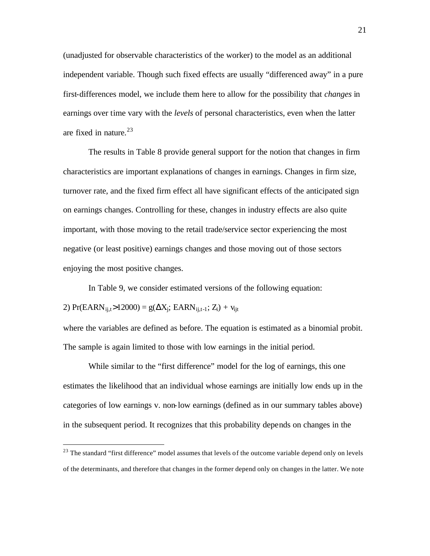(unadjusted for observable characteristics of the worker) to the model as an additional independent variable. Though such fixed effects are usually "differenced away" in a pure first-differences model, we include them here to allow for the possibility that *changes* in earnings over time vary with the *levels* of personal characteristics, even when the latter are fixed in nature. $^{23}$ 

The results in Table 8 provide general support for the notion that changes in firm characteristics are important explanations of changes in earnings. Changes in firm size, turnover rate, and the fixed firm effect all have significant effects of the anticipated sign on earnings changes. Controlling for these, changes in industry effects are also quite important, with those moving to the retail trade/service sector experiencing the most negative (or least positive) earnings changes and those moving out of those sectors enjoying the most positive changes.

In Table 9, we consider estimated versions of the following equation: 2) Pr(EARN<sub>ij,t</sub>>12000) = g( $\Delta X_i$ ; EARN<sub>ij,t-1</sub>; Z<sub>i</sub>) + v<sub>ijt</sub>

where the variables are defined as before. The equation is estimated as a binomial probit. The sample is again limited to those with low earnings in the initial period.

While similar to the "first difference" model for the log of earnings, this one estimates the likelihood that an individual whose earnings are initially low ends up in the categories of low earnings v. non-low earnings (defined as in our summary tables above) in the subsequent period. It recognizes that this probability depends on changes in the

<sup>&</sup>lt;sup>23</sup> The standard "first difference" model assumes that levels of the outcome variable depend only on levels of the determinants, and therefore that changes in the former depend only on changes in the latter. We note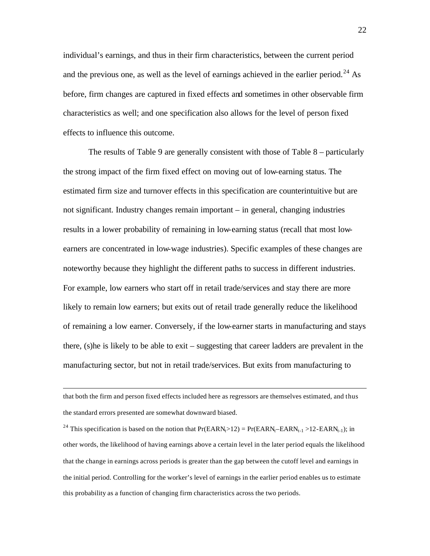individual's earnings, and thus in their firm characteristics, between the current period and the previous one, as well as the level of earnings achieved in the earlier period.<sup>24</sup> As before, firm changes are captured in fixed effects and sometimes in other observable firm characteristics as well; and one specification also allows for the level of person fixed effects to influence this outcome.

The results of Table 9 are generally consistent with those of Table 8 – particularly the strong impact of the firm fixed effect on moving out of low-earning status. The estimated firm size and turnover effects in this specification are counterintuitive but are not significant. Industry changes remain important – in general, changing industries results in a lower probability of remaining in low-earning status (recall that most lowearners are concentrated in low-wage industries). Specific examples of these changes are noteworthy because they highlight the different paths to success in different industries. For example, low earners who start off in retail trade/services and stay there are more likely to remain low earners; but exits out of retail trade generally reduce the likelihood of remaining a low earner. Conversely, if the low-earner starts in manufacturing and stays there, (s)he is likely to be able to exit – suggesting that career ladders are prevalent in the manufacturing sector, but not in retail trade/services. But exits from manufacturing to

that both the firm and person fixed effects included here as regressors are themselves estimated, and thus the standard errors presented are somewhat downward biased.

 $\overline{a}$ 

<sup>24</sup> This specification is based on the notion that  $Pr(EARN_t>12) = Pr(EARN_t-EARN_{t-1} > 12-EARN_{t-1});$  in other words, the likelihood of having earnings above a certain level in the later period equals the likelihood that the change in earnings across periods is greater than the gap between the cutoff level and earnings in the initial period. Controlling for the worker's level of earnings in the earlier period enables us to estimate this probability as a function of changing firm characteristics across the two periods.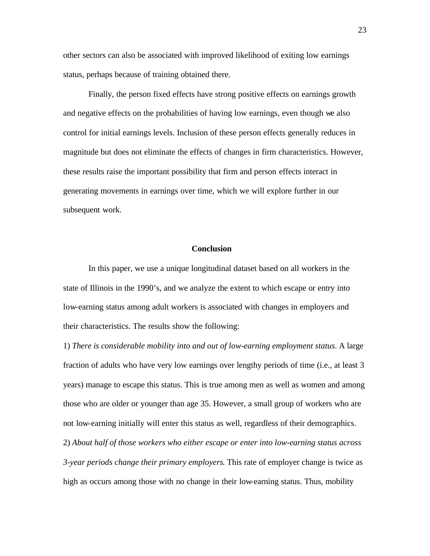other sectors can also be associated with improved likelihood of exiting low earnings status, perhaps because of training obtained there.

Finally, the person fixed effects have strong positive effects on earnings growth and negative effects on the probabilities of having low earnings, even though we also control for initial earnings levels. Inclusion of these person effects generally reduces in magnitude but does not eliminate the effects of changes in firm characteristics. However, these results raise the important possibility that firm and person effects interact in generating movements in earnings over time, which we will explore further in our subsequent work.

#### **Conclusion**

In this paper, we use a unique longitudinal dataset based on all workers in the state of Illinois in the 1990's, and we analyze the extent to which escape or entry into low-earning status among adult workers is associated with changes in employers and their characteristics. The results show the following:

1) *There is considerable mobility into and out of low-earning employment status*. A large fraction of adults who have very low earnings over lengthy periods of time (i.e., at least 3 years) manage to escape this status. This is true among men as well as women and among those who are older or younger than age 35. However, a small group of workers who are not low-earning initially will enter this status as well, regardless of their demographics.

2) *About half of those workers who either escape or enter into low-earning status across 3-year periods change their primary employers*. This rate of employer change is twice as high as occurs among those with no change in their low-earning status. Thus, mobility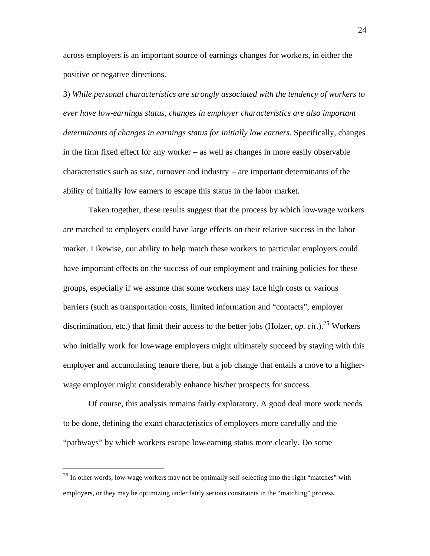across employers is an important source of earnings changes for workers, in either the positive or negative directions.

3) *While personal characteristics are strongly associated with the tendency of workers to ever have low-earnings status, changes in employer characteristics are also important determinants of changes in earnings status for initially low earners.* Specifically, changes in the firm fixed effect for any worker – as well as changes in more easily observable characteristics such as size, turnover and industry – are important determinants of the ability of initially low earners to escape this status in the labor market.

Taken together, these results suggest that the process by which low-wage workers are matched to employers could have large effects on their relative success in the labor market. Likewise, our ability to help match these workers to particular employers could have important effects on the success of our employment and training policies for these groups, especially if we assume that some workers may face high costs or various barriers (such as transportation costs, limited information and "contacts", employer discrimination, etc.) that limit their access to the better jobs (Holzer, *op. cit.*).<sup>25</sup> Workers who initially work for low-wage employers might ultimately succeed by staying with this employer and accumulating tenure there, but a job change that entails a move to a higherwage employer might considerably enhance his/her prospects for success.

Of course, this analysis remains fairly exploratory. A good deal more work needs to be done, defining the exact characteristics of employers more carefully and the "pathways" by which workers escape low-earning status more clearly. Do some

 $^{25}$  In other words, low-wage workers may not be optimally self-selecting into the right "matches" with employers, or they may be optimizing under fairly serious constraints in the "matching" process.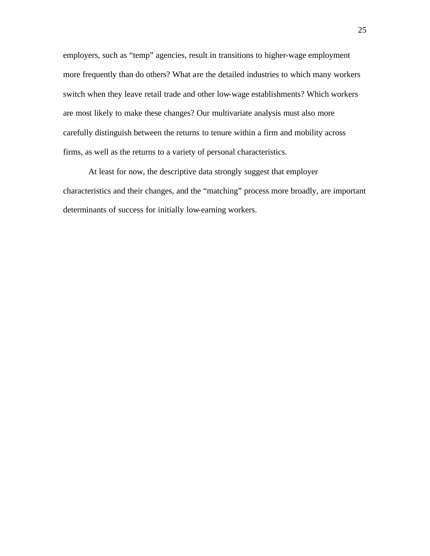employers, such as "temp" agencies, result in transitions to higher-wage employment more frequently than do others? What are the detailed industries to which many workers switch when they leave retail trade and other low-wage establishments? Which workers are most likely to make these changes? Our multivariate analysis must also more carefully distinguish between the returns to tenure within a firm and mobility across firms, as well as the returns to a variety of personal characteristics.

At least for now, the descriptive data strongly suggest that employer characteristics and their changes, and the "matching" process more broadly, are important determinants of success for initially low-earning workers.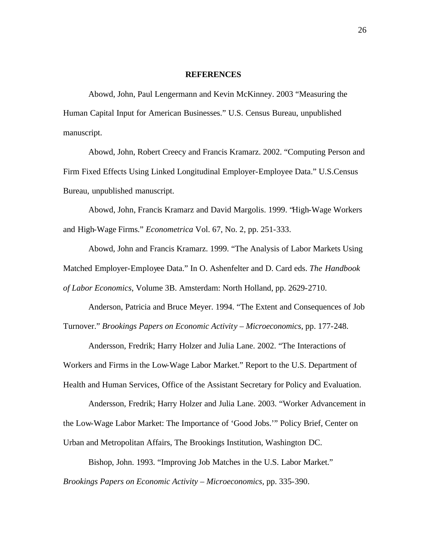#### **REFERENCES**

Abowd, John, Paul Lengermann and Kevin McKinney. 2003 "Measuring the Human Capital Input for American Businesses." U.S. Census Bureau, unpublished manuscript.

Abowd, John, Robert Creecy and Francis Kramarz. 2002. "Computing Person and Firm Fixed Effects Using Linked Longitudinal Employer-Employee Data." U.S.Census Bureau, unpublished manuscript.

Abowd, John, Francis Kramarz and David Margolis. 1999. "High-Wage Workers and High-Wage Firms." *Econometrica* Vol. 67, No. 2, pp. 251-333.

Abowd, John and Francis Kramarz. 1999. "The Analysis of Labor Markets Using Matched Employer-Employee Data." In O. Ashenfelter and D. Card eds. *The Handbook of Labor Economics*, Volume 3B. Amsterdam: North Holland, pp. 2629-2710.

Anderson, Patricia and Bruce Meyer. 1994. "The Extent and Consequences of Job Turnover." *Brookings Papers on Economic Activity – Microeconomics*, pp. 177-248.

Andersson, Fredrik; Harry Holzer and Julia Lane. 2002. "The Interactions of Workers and Firms in the Low-Wage Labor Market." Report to the U.S. Department of Health and Human Services, Office of the Assistant Secretary for Policy and Evaluation.

Andersson, Fredrik; Harry Holzer and Julia Lane. 2003. "Worker Advancement in the Low-Wage Labor Market: The Importance of 'Good Jobs.'" Policy Brief, Center on Urban and Metropolitan Affairs, The Brookings Institution, Washington DC.

Bishop, John. 1993. "Improving Job Matches in the U.S. Labor Market." *Brookings Papers on Economic Activity – Microeconomics,* pp. 335-390.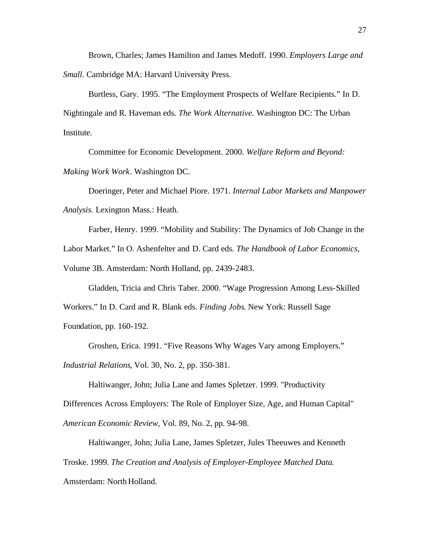Brown, Charles; James Hamilton and James Medoff. 1990. *Employers Large and Small*. Cambridge MA: Harvard University Press.

Burtless, Gary. 1995. "The Employment Prospects of Welfare Recipients." In D. Nightingale and R. Haveman eds. *The Work Alternative.* Washington DC: The Urban Institute.

Committee for Economic Development. 2000. *Welfare Reform and Beyond: Making Work Work*. Washington DC.

Doeringer, Peter and Michael Piore. 1971. *Internal Labor Markets and Manpower Analysis.* Lexington Mass.: Heath.

Farber, Henry. 1999. "Mobility and Stability: The Dynamics of Job Change in the Labor Market." In O. Ashenfelter and D. Card eds. *The Handbook of Labor Economics*, Volume 3B. Amsterdam: North Holland, pp. 2439-2483.

Gladden, Tricia and Chris Taber. 2000. "Wage Progression Among Less-Skilled Workers." In D. Card and R. Blank eds. *Finding Jobs*. New York: Russell Sage Foundation, pp. 160-192.

Groshen, Erica. 1991. "Five Reasons Why Wages Vary among Employers." *Industrial Relations*, Vol. 30, No. 2, pp. 350-381.

Haltiwanger, John; Julia Lane and James Spletzer. 1999. "Productivity Differences Across Employers: The Role of Employer Size, Age, and Human Capital" *American Economic Review*, Vol. 89, No. 2, pp. 94-98.

Haltiwanger, John; Julia Lane, James Spletzer, Jules Theeuwes and Kenneth Troske. 1999. *The Creation and Analysis of Employer-Employee Matched Data*. Amsterdam: North Holland.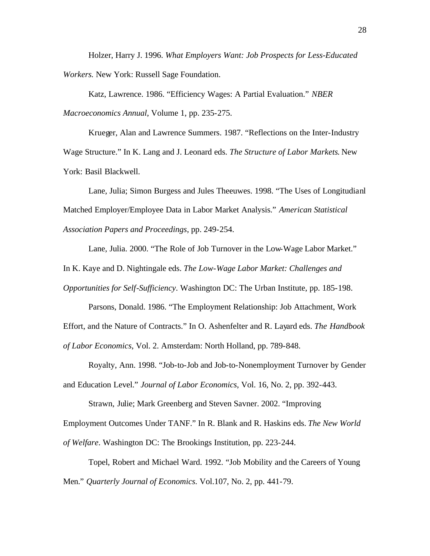Holzer, Harry J. 1996. *What Employers Want: Job Prospects for Less-Educated Workers.* New York: Russell Sage Foundation.

Katz, Lawrence. 1986. "Efficiency Wages: A Partial Evaluation." *NBER Macroeconomics Annual*, Volume 1, pp. 235-275.

Krueger, Alan and Lawrence Summers. 1987. "Reflections on the Inter-Industry Wage Structure." In K. Lang and J. Leonard eds. *The Structure of Labor Markets*. New York: Basil Blackwell.

Lane, Julia; Simon Burgess and Jules Theeuwes. 1998. "The Uses of Longitudianl Matched Employer/Employee Data in Labor Market Analysis." *American Statistical Association Papers and Proceedings*, pp. 249-254.

Lane, Julia. 2000. "The Role of Job Turnover in the Low-Wage Labor Market." In K. Kaye and D. Nightingale eds. *The Low-Wage Labor Market: Challenges and* 

*Opportunities for Self-Sufficiency*. Washington DC: The Urban Institute, pp. 185-198.

Parsons, Donald. 1986. "The Employment Relationship: Job Attachment, Work Effort, and the Nature of Contracts." In O. Ashenfelter and R. Layard eds. *The Handbook of Labor Economics*, Vol. 2. Amsterdam: North Holland, pp. 789-848.

Royalty, Ann. 1998. "Job-to-Job and Job-to-Nonemployment Turnover by Gender and Education Level." *Journal of Labor Economics*, Vol. 16, No. 2, pp. 392-443.

Strawn, Julie; Mark Greenberg and Steven Savner. 2002. "Improving Employment Outcomes Under TANF." In R. Blank and R. Haskins eds. *The New World of Welfare*. Washington DC: The Brookings Institution, pp. 223-244.

Topel, Robert and Michael Ward. 1992. "Job Mobility and the Careers of Young Men." *Quarterly Journal of Economics.* Vol.107, No. 2, pp. 441-79.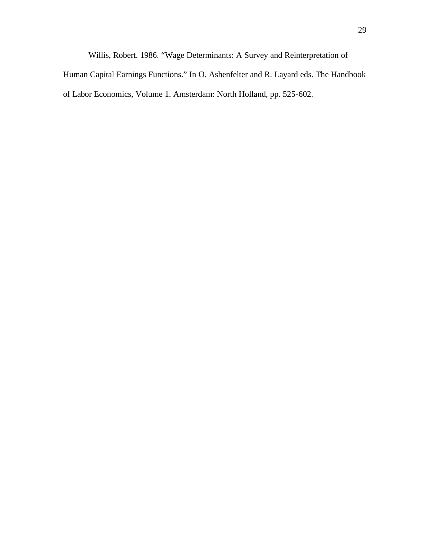Willis, Robert. 1986. "Wage Determinants: A Survey and Reinterpretation of Human Capital Earnings Functions." In O. Ashenfelter and R. Layard eds. The Handbook of Labor Economics, Volume 1. Amsterdam: North Holland, pp. 525-602.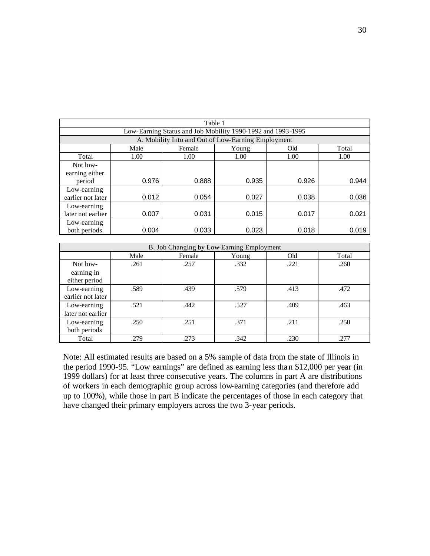| Table 1                                                     |       |        |       |       |       |  |  |  |
|-------------------------------------------------------------|-------|--------|-------|-------|-------|--|--|--|
| Low-Earning Status and Job Mobility 1990-1992 and 1993-1995 |       |        |       |       |       |  |  |  |
| A. Mobility Into and Out of Low-Earning Employment          |       |        |       |       |       |  |  |  |
|                                                             | Male  | Female | Young | Old   | Total |  |  |  |
| Total                                                       | 1.00  | 1.00   | 1.00  | 1.00  | 1.00  |  |  |  |
| Not low-                                                    |       |        |       |       |       |  |  |  |
| earning either                                              |       |        |       |       |       |  |  |  |
| period                                                      | 0.976 | 0.888  | 0.935 | 0.926 | 0.944 |  |  |  |
| Low-earning                                                 |       |        |       |       |       |  |  |  |
| earlier not later                                           | 0.012 | 0.054  | 0.027 | 0.038 | 0.036 |  |  |  |
| Low-earning                                                 |       |        |       |       |       |  |  |  |
| later not earlier                                           | 0.007 | 0.031  | 0.015 | 0.017 | 0.021 |  |  |  |
| Low-earning                                                 |       |        |       |       |       |  |  |  |
| both periods                                                | 0.004 | 0.033  | 0.023 | 0.018 | 0.019 |  |  |  |

| B. Job Changing by Low-Earning Employment |      |        |       |      |       |  |  |  |
|-------------------------------------------|------|--------|-------|------|-------|--|--|--|
|                                           | Male | Female | Young | Old  | Total |  |  |  |
| Not low-                                  | .261 | .257   | .332  | .221 | .260  |  |  |  |
| earning in                                |      |        |       |      |       |  |  |  |
| either period                             |      |        |       |      |       |  |  |  |
| Low-earning<br>earlier not later          | .589 | .439   | .579  | .413 | .472  |  |  |  |
| Low-earning<br>later not earlier          | .521 | .442   | .527  | .409 | .463  |  |  |  |
| Low-earning<br>both periods               | .250 | .251   | .371  | .211 | .250  |  |  |  |
| Total                                     | .279 | .273   | .342  | .230 | .277  |  |  |  |

Note: All estimated results are based on a 5% sample of data from the state of Illinois in the period 1990-95. "Low earnings" are defined as earning less than \$12,000 per year (in 1999 dollars) for at least three consecutive years. The columns in part A are distributions of workers in each demographic group across low-earning categories (and therefore add up to 100%), while those in part B indicate the percentages of those in each category that have changed their primary employers across the two 3-year periods.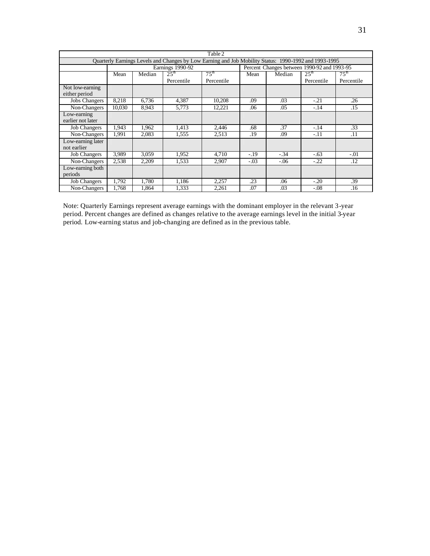|                                                                                                       | Table 2 |        |                                 |                             |        |        |                                             |                                |  |
|-------------------------------------------------------------------------------------------------------|---------|--------|---------------------------------|-----------------------------|--------|--------|---------------------------------------------|--------------------------------|--|
| Quarterly Earnings Levels and Changes by Low Earning and Job Mobility Status: 1990-1992 and 1993-1995 |         |        |                                 |                             |        |        |                                             |                                |  |
|                                                                                                       |         |        | Earnings 1990-92                |                             |        |        | Percent Changes between 1990-92 and 1993-95 |                                |  |
|                                                                                                       | Mean    | Median | $2.5^{\text{th}}$<br>Percentile | $75^{\rm th}$<br>Percentile | Mean   | Median | $25^{\rm th}$<br>Percentile                 | 75 <sup>th</sup><br>Percentile |  |
| Not low-earning<br>either period                                                                      |         |        |                                 |                             |        |        |                                             |                                |  |
| <b>Jobs Changers</b>                                                                                  | 8.218   | 6.736  | 4,387                           | 10,208                      | .09    | .03    | $-.21$                                      | .26                            |  |
| Non-Changers                                                                                          | 10.030  | 8.943  | 5.773                           | 12.221                      | .06    | .05    | $-.14$                                      | .15                            |  |
| Low-earning<br>earlier not later                                                                      |         |        |                                 |                             |        |        |                                             |                                |  |
| <b>Job Changers</b>                                                                                   | 1.943   | 1.962  | 1.413                           | 2.446                       | .68    | .37    | $-.14$                                      | .33                            |  |
| Non-Changers                                                                                          | 1.991   | 2.083  | 1.555                           | 2.513                       | .19    | .09    | $-.11$                                      | .11                            |  |
| Low-earning later<br>not earlier                                                                      |         |        |                                 |                             |        |        |                                             |                                |  |
| <b>Job Changers</b>                                                                                   | 3.989   | 3.059  | 1.952                           | 4.710                       | $-.19$ | $-.34$ | $-.63$                                      | $-.01$                         |  |
| Non-Changers                                                                                          | 2,538   | 2,209  | 1.533                           | 2,907                       | $-.03$ | $-.06$ | $-.22$                                      | .12                            |  |
| Low-earning both<br>periods                                                                           |         |        |                                 |                             |        |        |                                             |                                |  |
| <b>Job Changers</b>                                                                                   | 1.792   | 1.780  | 1,186                           | 2,257                       | .23    | .06    | $-.20$                                      | .39                            |  |
| Non-Changers                                                                                          | 1.768   | 1.864  | 1.333                           | 2,261                       | .07    | .03    | $-.08$                                      | .16                            |  |

Note: Quarterly Earnings represent average earnings with the dominant employer in the relevant 3-year period. Percent changes are defined as changes relative to the average earnings level in the initial 3-year period. Low-earning status and job-changing are defined as in the previous table.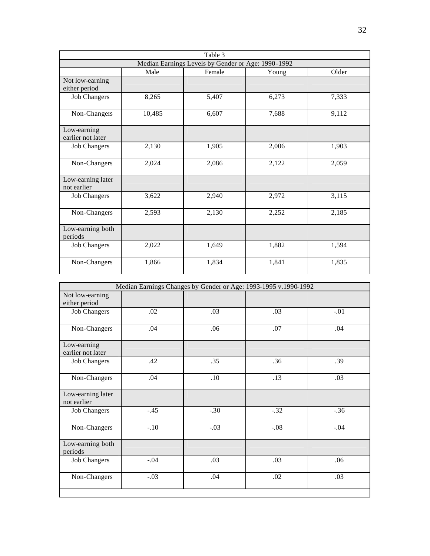|                                  | Table 3 |                                                    |       |       |  |  |  |  |  |
|----------------------------------|---------|----------------------------------------------------|-------|-------|--|--|--|--|--|
|                                  |         | Median Earnings Levels by Gender or Age: 1990-1992 |       |       |  |  |  |  |  |
|                                  | Male    | Female                                             | Young | Older |  |  |  |  |  |
| Not low-earning<br>either period |         |                                                    |       |       |  |  |  |  |  |
| <b>Job Changers</b>              | 8,265   | 5,407                                              | 6,273 | 7,333 |  |  |  |  |  |
| Non-Changers                     | 10,485  | 6,607                                              | 7,688 | 9,112 |  |  |  |  |  |
| Low-earning<br>earlier not later |         |                                                    |       |       |  |  |  |  |  |
| <b>Job Changers</b>              | 2,130   | 1,905                                              | 2,006 | 1,903 |  |  |  |  |  |
| Non-Changers                     | 2,024   | 2,086                                              | 2,122 | 2,059 |  |  |  |  |  |
| Low-earning later<br>not earlier |         |                                                    |       |       |  |  |  |  |  |
| <b>Job Changers</b>              | 3,622   | 2,940                                              | 2,972 | 3,115 |  |  |  |  |  |
| Non-Changers                     | 2,593   | 2,130                                              | 2,252 | 2,185 |  |  |  |  |  |
| Low-earning both<br>periods      |         |                                                    |       |       |  |  |  |  |  |
| <b>Job Changers</b>              | 2,022   | 1,649                                              | 1,882 | 1,594 |  |  |  |  |  |
| Non-Changers                     | 1,866   | 1,834                                              | 1,841 | 1,835 |  |  |  |  |  |

|                                  | Median Earnings Changes by Gender or Age: 1993-1995 v.1990-1992 |        |        |        |
|----------------------------------|-----------------------------------------------------------------|--------|--------|--------|
| Not low-earning<br>either period |                                                                 |        |        |        |
| <b>Job Changers</b>              | .02                                                             | .03    | .03    | $-.01$ |
| Non-Changers                     | .04                                                             | .06    | .07    | .04    |
| Low-earning<br>earlier not later |                                                                 |        |        |        |
| <b>Job Changers</b>              | .42                                                             | .35    | .36    | .39    |
| Non-Changers                     | .04                                                             | .10    | .13    | .03    |
| Low-earning later<br>not earlier |                                                                 |        |        |        |
| <b>Job Changers</b>              | $-.45$                                                          | $-.30$ | $-.32$ | $-.36$ |
| Non-Changers                     | $-.10$                                                          | $-.03$ | $-.08$ | $-.04$ |
| Low-earning both<br>periods      |                                                                 |        |        |        |
| <b>Job Changers</b>              | $-.04$                                                          | .03    | .03    | .06    |
| Non-Changers                     | $-.03$                                                          | .04    | .02    | .03    |
|                                  |                                                                 |        |        |        |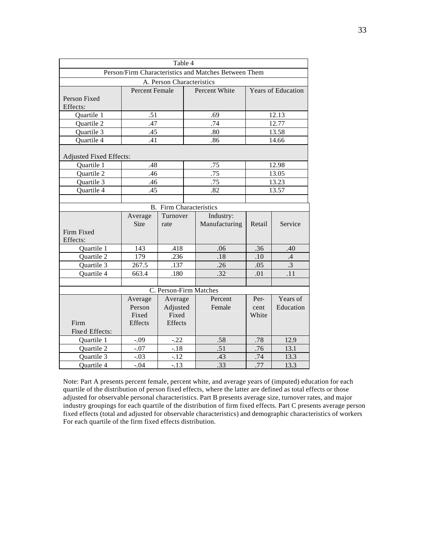|                                |                | Table 4                     |  |                                                      |                    |                 |  |
|--------------------------------|----------------|-----------------------------|--|------------------------------------------------------|--------------------|-----------------|--|
|                                |                |                             |  | Person/Firm Characteristics and Matches Between Them |                    |                 |  |
|                                |                | A. Person Characteristics   |  |                                                      |                    |                 |  |
|                                | Percent Female |                             |  | Percent White                                        | Years of Education |                 |  |
| Person Fixed                   |                |                             |  |                                                      |                    |                 |  |
| Effects:                       |                |                             |  |                                                      |                    |                 |  |
| Quartile 1                     | .51            |                             |  | .69                                                  |                    | 12.13           |  |
| Quartile 2                     | .47            |                             |  | .74                                                  |                    | 12.77           |  |
| Quartile 3                     | .45            |                             |  | .80                                                  |                    | 13.58           |  |
| Quartile 4                     | .41            |                             |  | .86                                                  |                    | 14.66           |  |
|                                |                |                             |  |                                                      |                    |                 |  |
| <b>Adjusted Fixed Effects:</b> |                |                             |  |                                                      |                    |                 |  |
| Quartile 1                     | .48            |                             |  | .75                                                  |                    | 12.98           |  |
| Quartile 2                     | .46            |                             |  | .75                                                  |                    | 13.05           |  |
| Quartile 3                     | .46            |                             |  | .75                                                  |                    | 13.23           |  |
| Quartile 4                     | .45            |                             |  | .82                                                  |                    | 13.57           |  |
|                                |                |                             |  |                                                      |                    |                 |  |
|                                | <b>B.</b>      | <b>Firm Characteristics</b> |  |                                                      |                    |                 |  |
|                                | Average        | Turnover                    |  | Industry:                                            |                    |                 |  |
|                                | <b>Size</b>    | rate                        |  | Manufacturing                                        | Retail             | Service         |  |
| Firm Fixed                     |                |                             |  |                                                      |                    |                 |  |
| Effects:                       |                |                             |  |                                                      |                    |                 |  |
| Quartile 1                     | 143            | .418                        |  | .06                                                  | .36                | .40             |  |
| Quartile 2                     | 179            | .236                        |  | .18                                                  | .10                | $\mathcal{A}$   |  |
| Quartile 3                     | 267.5          | .137                        |  | .26                                                  | .05                | $\overline{.3}$ |  |
| Quartile 4                     | 663.4          | .180                        |  | .32                                                  | .01                | .11             |  |
|                                |                |                             |  |                                                      |                    |                 |  |
|                                |                | C. Person-Firm Matches      |  |                                                      |                    |                 |  |
|                                | Average        | Average                     |  | Percent                                              | Per-               | Years of        |  |
|                                | Person         | Adjusted                    |  | Female                                               | cent               | Education       |  |
|                                | Fixed          | Fixed                       |  |                                                      | White              |                 |  |
| Firm                           | Effects        | Effects                     |  |                                                      |                    |                 |  |
| Fixed Effects:                 |                |                             |  |                                                      |                    |                 |  |
| Quartile 1                     | $-.09$         | $-.22$                      |  | .58                                                  | .78                | 12.9            |  |
| Quartile 2                     | $-.07$         | $-.18$                      |  | .51                                                  | .76                | 13.1            |  |
| Quartile 3                     | $-.03$         | $-12$                       |  | .43                                                  | .74                | 13.3            |  |
| Quartile 4                     | $-.04$         | $-.13$                      |  | .33                                                  | .77                | 13.3            |  |

Note: Part A presents percent female, percent white, and average years of (imputed) education for each quartile of the distribution of person fixed effects, where the latter are defined as total effects or those adjusted for observable personal characteristics. Part B presents average size, turnover rates, and major industry groupings for each quartile of the distribution of firm fixed effects. Part C presents average person fixed effects (total and adjusted for observable characteristics) and demographic characteristics of workers For each quartile of the firm fixed effects distribution.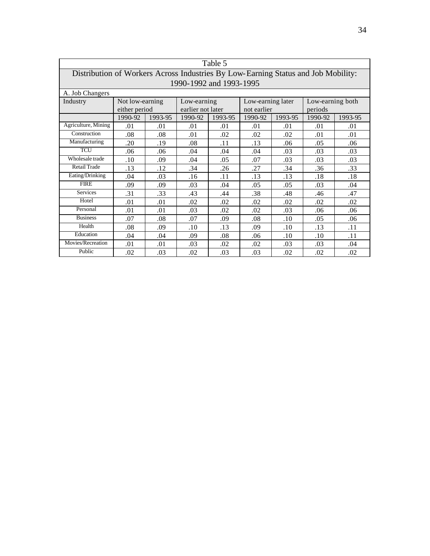| Table 5                                                                           |                 |         |                         |         |                   |         |                  |         |
|-----------------------------------------------------------------------------------|-----------------|---------|-------------------------|---------|-------------------|---------|------------------|---------|
| Distribution of Workers Across Industries By Low-Earning Status and Job Mobility: |                 |         |                         |         |                   |         |                  |         |
|                                                                                   |                 |         | 1990-1992 and 1993-1995 |         |                   |         |                  |         |
| A. Job Changers                                                                   |                 |         |                         |         |                   |         |                  |         |
| Industry                                                                          | Not low-earning |         | Low-earning             |         | Low-earning later |         | Low-earning both |         |
|                                                                                   | either period   |         | earlier not later       |         | not earlier       |         | periods          |         |
|                                                                                   | 1990-92         | 1993-95 | 1990-92                 | 1993-95 | 1990-92           | 1993-95 | 1990-92          | 1993-95 |
| Agriculture, Mining                                                               | .01             | .01     | .01                     | .01     | .01               | .01     | .01              | .01     |
| Construction                                                                      | .08             | .08     | .01                     | .02     | .02               | .02     | .01              | .01     |
| Manufacturing                                                                     | .20             | .19     | .08                     | .11     | .13               | .06     | .05              | .06     |
| <b>TCU</b>                                                                        | .06             | .06     | .04                     | .04     | .04               | .03     | .03              | .03     |
| Wholesale trade                                                                   | .10             | .09     | .04                     | .05     | .07               | .03     | .03              | .03     |
| <b>Retail Trade</b>                                                               | .13             | .12     | .34                     | .26     | .27               | .34     | .36              | .33     |
| Eating/Drinking                                                                   | .04             | .03     | .16                     | .11     | .13               | .13     | .18              | .18     |
| <b>FIRE</b>                                                                       | .09             | .09     | .03                     | .04     | .05               | .05     | .03              | .04     |
| <b>Services</b>                                                                   | .31             | .33     | .43                     | .44     | .38               | .48     | .46              | .47     |
| Hotel                                                                             | .01             | .01     | .02                     | .02     | .02               | .02     | .02              | .02     |
| Personal                                                                          | .01             | .01     | .03                     | .02     | .02               | .03     | .06              | .06     |
| <b>Business</b>                                                                   | .07             | .08     | .07                     | .09     | .08               | $.10\,$ | .05              | .06     |
| Health                                                                            | .08             | .09     | .10                     | .13     | .09               | $.10\,$ | .13              | .11     |
| Education                                                                         | .04             | .04     | .09                     | .08     | .06               | .10     | .10              | .11     |
| Movies/Recreation                                                                 | .01             | .01     | .03                     | .02     | .02               | .03     | .03              | .04     |
| Public                                                                            | .02             | .03     | .02                     | .03     | .03               | .02     | .02              | .02     |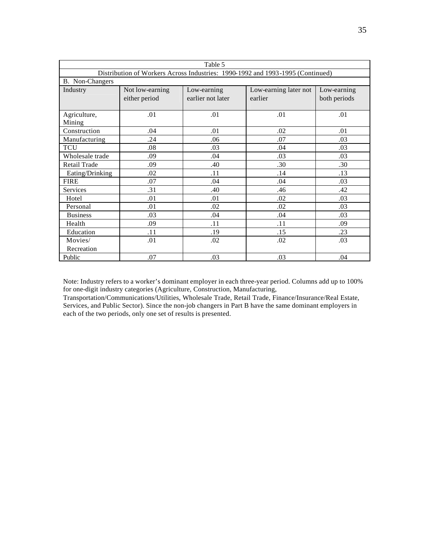| Table 5                                                                        |                 |                                                     |         |              |  |  |  |  |
|--------------------------------------------------------------------------------|-----------------|-----------------------------------------------------|---------|--------------|--|--|--|--|
| Distribution of Workers Across Industries: 1990-1992 and 1993-1995 (Continued) |                 |                                                     |         |              |  |  |  |  |
| B. Non-Changers                                                                |                 |                                                     |         |              |  |  |  |  |
| Industry                                                                       | Not low-earning | Low-earning<br>Low-earning later not<br>Low-earning |         |              |  |  |  |  |
|                                                                                | either period   | earlier not later                                   | earlier | both periods |  |  |  |  |
|                                                                                |                 |                                                     |         |              |  |  |  |  |
| Agriculture,                                                                   | .01             | .01                                                 | .01     | .01          |  |  |  |  |
| Mining                                                                         |                 |                                                     |         |              |  |  |  |  |
| Construction                                                                   | .04             | .01                                                 | .02     | .01          |  |  |  |  |
| Manufacturing                                                                  | .24             | .06                                                 | .07     | .03          |  |  |  |  |
| <b>TCU</b>                                                                     | .08             | .03                                                 | .04     | .03          |  |  |  |  |
| Wholesale trade                                                                | .09             | .04                                                 | .03     | .03          |  |  |  |  |
| Retail Trade                                                                   | .09             | .40                                                 | .30     | .30          |  |  |  |  |
| Eating/Drinking                                                                | .02             | .11                                                 | .14     | .13          |  |  |  |  |
| <b>FIRE</b>                                                                    | .07             | .04                                                 | .04     | .03          |  |  |  |  |
| <b>Services</b>                                                                | .31             | .40                                                 | .46     | .42          |  |  |  |  |
| Hotel                                                                          | .01             | .01                                                 | .02     | .03          |  |  |  |  |
| Personal                                                                       | .01             | .02                                                 | .02     | .03          |  |  |  |  |
| <b>Business</b>                                                                | .03             | .04                                                 | .04     | .03          |  |  |  |  |
| Health                                                                         | .09             | .11                                                 | .11     | .09          |  |  |  |  |
| Education                                                                      | .11             | .19                                                 | .15     | .23          |  |  |  |  |
| Movies/                                                                        | .01             | .02                                                 | .02     | .03          |  |  |  |  |
| Recreation                                                                     |                 |                                                     |         |              |  |  |  |  |
| Public                                                                         | .07             | .03                                                 | .03     | .04          |  |  |  |  |

Note: Industry refers to a worker's dominant employer in each three-year period. Columns add up to 100% for one-digit industry categories (Agriculture, Construction, Manufacturing,

Transportation/Communications/Utilities, Wholesale Trade, Retail Trade, Finance/Insurance/Real Estate, Services, and Public Sector). Since the non-job changers in Part B have the same dominant employers in each of the two periods, only one set of results is presented.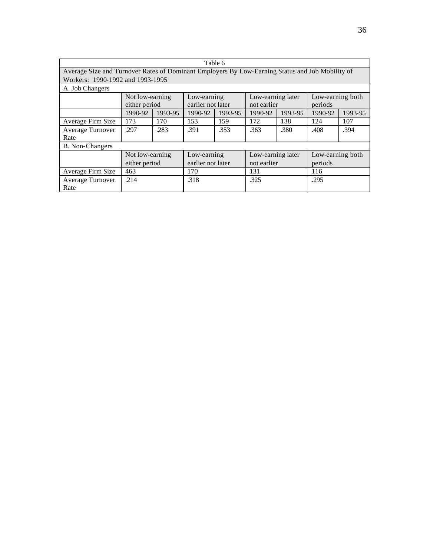| Table 6                                                                                         |                                  |         |                   |         |                   |         |                  |         |  |
|-------------------------------------------------------------------------------------------------|----------------------------------|---------|-------------------|---------|-------------------|---------|------------------|---------|--|
| Average Size and Turnover Rates of Dominant Employers By Low-Earning Status and Job Mobility of |                                  |         |                   |         |                   |         |                  |         |  |
|                                                                                                 | Workers: 1990-1992 and 1993-1995 |         |                   |         |                   |         |                  |         |  |
| A. Job Changers                                                                                 |                                  |         |                   |         |                   |         |                  |         |  |
|                                                                                                 | Not low-earning                  |         | Low-earning       |         | Low-earning later |         | Low-earning both |         |  |
|                                                                                                 | either period                    |         | earlier not later |         | not earlier       |         | periods          |         |  |
|                                                                                                 | 1990-92                          | 1993-95 | 1990-92           | 1993-95 | 1990-92           | 1993-95 | 1990-92          | 1993-95 |  |
| Average Firm Size                                                                               | 173                              | 170     | 153               | 159     | 172               | 138     | 124              | 107     |  |
| Average Turnover                                                                                | .297                             | .283    | .391              | .353    | .363              | .380    | .408             | .394    |  |
| Rate                                                                                            |                                  |         |                   |         |                   |         |                  |         |  |
| <b>B.</b> Non-Changers                                                                          |                                  |         |                   |         |                   |         |                  |         |  |
|                                                                                                 | Not low-earning                  |         | Low-earning       |         | Low-earning later |         | Low-earning both |         |  |
|                                                                                                 | either period                    |         | earlier not later |         | not earlier       |         | periods          |         |  |
| Average Firm Size                                                                               | 463<br>170<br>116<br>131         |         |                   |         |                   |         |                  |         |  |
| Average Turnover                                                                                | .214                             |         | .318              |         | .325              |         | .295             |         |  |
| Rate                                                                                            |                                  |         |                   |         |                   |         |                  |         |  |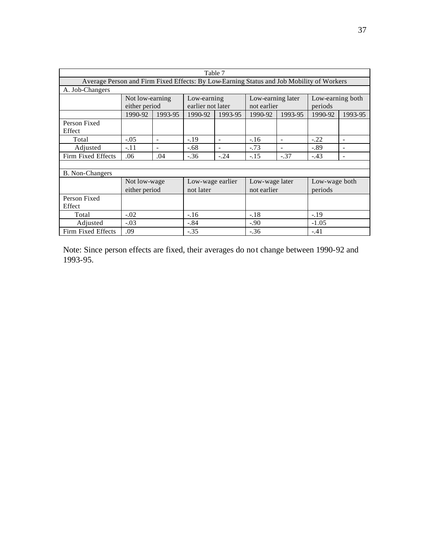| Table 7                |                                                                                          |                                                                         |                   |                |                |         |               |                          |
|------------------------|------------------------------------------------------------------------------------------|-------------------------------------------------------------------------|-------------------|----------------|----------------|---------|---------------|--------------------------|
|                        | Average Person and Firm Fixed Effects: By Low-Earning Status and Job Mobility of Workers |                                                                         |                   |                |                |         |               |                          |
| A. Job-Changers        |                                                                                          |                                                                         |                   |                |                |         |               |                          |
|                        |                                                                                          | Low-earning both<br>Low-earning later<br>Not low-earning<br>Low-earning |                   |                |                |         |               |                          |
|                        | either period                                                                            |                                                                         | earlier not later |                | not earlier    |         | periods       |                          |
|                        | 1990-92                                                                                  | 1993-95                                                                 | 1990-92           | 1993-95        | 1990-92        | 1993-95 | 1990-92       | 1993-95                  |
| Person Fixed           |                                                                                          |                                                                         |                   |                |                |         |               |                          |
| Effect                 |                                                                                          |                                                                         |                   |                |                |         |               |                          |
| Total                  | $-.05$                                                                                   | $\blacksquare$                                                          | $-.19$            | $\blacksquare$ | $-16$          |         | $-.22$        | $\overline{\phantom{a}}$ |
| Adjusted               | $-.11$                                                                                   |                                                                         | $-.68$            |                | $-.73$         |         | $-.89$        |                          |
| Firm Fixed Effects     | .06                                                                                      | .04                                                                     | $-.36$            | $-.24$         | $-.15$         | $-.37$  | $-.43$        |                          |
|                        |                                                                                          |                                                                         |                   |                |                |         |               |                          |
| <b>B.</b> Non-Changers |                                                                                          |                                                                         |                   |                |                |         |               |                          |
|                        | Not low-wage                                                                             |                                                                         | Low-wage earlier  |                | Low-wage later |         | Low-wage both |                          |
|                        | either period                                                                            |                                                                         | not later         |                | not earlier    |         | periods       |                          |
| Person Fixed           |                                                                                          |                                                                         |                   |                |                |         |               |                          |
| Effect                 |                                                                                          |                                                                         |                   |                |                |         |               |                          |
| Total                  | $-.02$                                                                                   |                                                                         | $-16$             |                | $-.18$         |         | $-.19$        |                          |
| Adjusted               | $-.03$<br>$-.84$<br>$-1.05$<br>$-.90$                                                    |                                                                         |                   |                |                |         |               |                          |
| Firm Fixed Effects     | .09                                                                                      |                                                                         | $-.35$            |                | $-.36$         |         | $-.41$        |                          |

Note: Since person effects are fixed, their averages do not change between 1990-92 and 1993-95.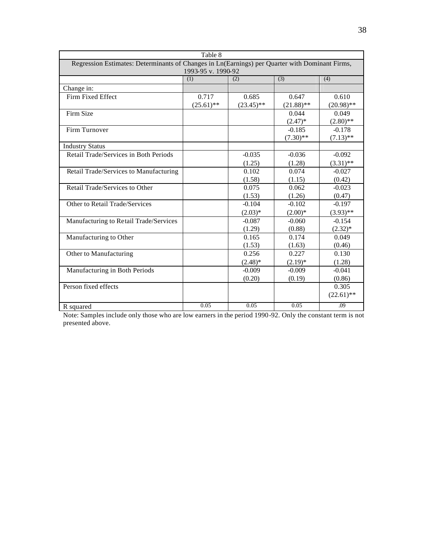|                                                                                                | Table 8            |              |              |              |  |  |  |  |
|------------------------------------------------------------------------------------------------|--------------------|--------------|--------------|--------------|--|--|--|--|
| Regression Estimates: Determinants of Changes in Ln(Earnings) per Quarter with Dominant Firms, |                    |              |              |              |  |  |  |  |
|                                                                                                | 1993-95 v. 1990-92 |              |              |              |  |  |  |  |
|                                                                                                | (1)                | (2)          | (3)          | (4)          |  |  |  |  |
| Change in:                                                                                     |                    |              |              |              |  |  |  |  |
| Firm Fixed Effect                                                                              | 0.717              | 0.685        | 0.647        | 0.610        |  |  |  |  |
|                                                                                                | $(25.61)$ **       | $(23.45)$ ** | $(21.88)$ ** | $(20.98)$ ** |  |  |  |  |
| Firm Size                                                                                      |                    |              | 0.044        | 0.049        |  |  |  |  |
|                                                                                                |                    |              | $(2.47)^*$   | $(2.80)$ **  |  |  |  |  |
| Firm Turnover                                                                                  |                    |              | $-0.185$     | $-0.178$     |  |  |  |  |
|                                                                                                |                    |              | $(7.30)$ **  | $(7.13)$ **  |  |  |  |  |
| <b>Industry Status</b>                                                                         |                    |              |              |              |  |  |  |  |
| Retail Trade/Services in Both Periods                                                          |                    | $-0.035$     | $-0.036$     | $-0.092$     |  |  |  |  |
|                                                                                                |                    | (1.25)       | (1.28)       | $(3.31)$ **  |  |  |  |  |
| Retail Trade/Services to Manufacturing                                                         |                    | 0.102        | 0.074        | $-0.027$     |  |  |  |  |
|                                                                                                |                    | (1.58)       | (1.15)       | (0.42)       |  |  |  |  |
| Retail Trade/Services to Other                                                                 |                    | 0.075        | 0.062        | $-0.023$     |  |  |  |  |
|                                                                                                |                    | (1.53)       | (1.26)       | (0.47)       |  |  |  |  |
| Other to Retail Trade/Services                                                                 |                    | $-0.104$     | $-0.102$     | $-0.197$     |  |  |  |  |
|                                                                                                |                    | $(2.03)*$    | $(2.00)*$    | $(3.93)$ **  |  |  |  |  |
| Manufacturing to Retail Trade/Services                                                         |                    | $-0.087$     | $-0.060$     | $-0.154$     |  |  |  |  |
|                                                                                                |                    | (1.29)       | (0.88)       | $(2.32)*$    |  |  |  |  |
| Manufacturing to Other                                                                         |                    | 0.165        | 0.174        | 0.049        |  |  |  |  |
|                                                                                                |                    | (1.53)       | (1.63)       | (0.46)       |  |  |  |  |
| Other to Manufacturing                                                                         |                    | 0.256        | 0.227        | 0.130        |  |  |  |  |
|                                                                                                |                    | $(2.48)$ *   | $(2.19)*$    | (1.28)       |  |  |  |  |
| Manufacturing in Both Periods                                                                  |                    | $-0.009$     | $-0.009$     | $-0.041$     |  |  |  |  |
|                                                                                                |                    | (0.20)       | (0.19)       | (0.86)       |  |  |  |  |
| Person fixed effects                                                                           |                    |              |              | 0.305        |  |  |  |  |
|                                                                                                |                    |              |              | $(22.61)$ ** |  |  |  |  |
| R squared                                                                                      | 0.05               | 0.05         | 0.05         | .09          |  |  |  |  |

Note: Samples include only those who are low earners in the period 1990-92. Only the constant term is not presented above.